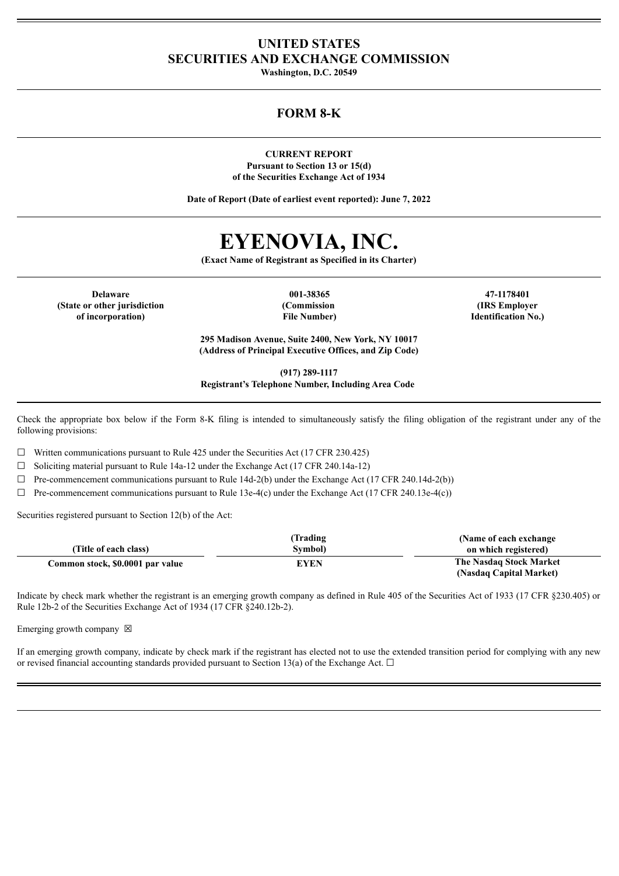## **UNITED STATES SECURITIES AND EXCHANGE COMMISSION**

**Washington, D.C. 20549**

## **FORM 8-K**

**CURRENT REPORT Pursuant to Section 13 or 15(d) of the Securities Exchange Act of 1934**

**Date of Report (Date of earliest event reported): June 7, 2022**

# **EYENOVIA, INC.**

**(Exact Name of Registrant as Specified in its Charter)**

**Delaware 001-38365 47-1178401 (State or other jurisdiction of incorporation)**

**(Commission File Number)**

**(IRS Employer Identification No.)**

**295 Madison Avenue, Suite 2400, New York, NY 10017 (Address of Principal Executive Offices, and Zip Code)**

**(917) 289-1117**

**Registrant's Telephone Number, Including Area Code**

Check the appropriate box below if the Form 8-K filing is intended to simultaneously satisfy the filing obligation of the registrant under any of the following provisions:

 $\Box$  Written communications pursuant to Rule 425 under the Securities Act (17 CFR 230.425)

 $\Box$  Soliciting material pursuant to Rule 14a-12 under the Exchange Act (17 CFR 240.14a-12)

 $\Box$  Pre-commencement communications pursuant to Rule 14d-2(b) under the Exchange Act (17 CFR 240.14d-2(b))

 $\Box$  Pre-commencement communications pursuant to Rule 13e-4(c) under the Exchange Act (17 CFR 240.13e-4(c))

Securities registered pursuant to Section 12(b) of the Act:

|                                  | Trading)    | (Name of each exchange) |
|----------------------------------|-------------|-------------------------|
| (Title of each class)            | Symbol)     | on which registered)    |
| Common stock, \$0.0001 par value | <b>EYEN</b> | The Nasdaq Stock Market |
|                                  |             | (Nasdaq Capital Market) |

Indicate by check mark whether the registrant is an emerging growth company as defined in Rule 405 of the Securities Act of 1933 (17 CFR §230.405) or Rule 12b-2 of the Securities Exchange Act of 1934 (17 CFR §240.12b-2).

Emerging growth company  $\boxtimes$ 

If an emerging growth company, indicate by check mark if the registrant has elected not to use the extended transition period for complying with any new or revised financial accounting standards provided pursuant to Section 13(a) of the Exchange Act.  $\Box$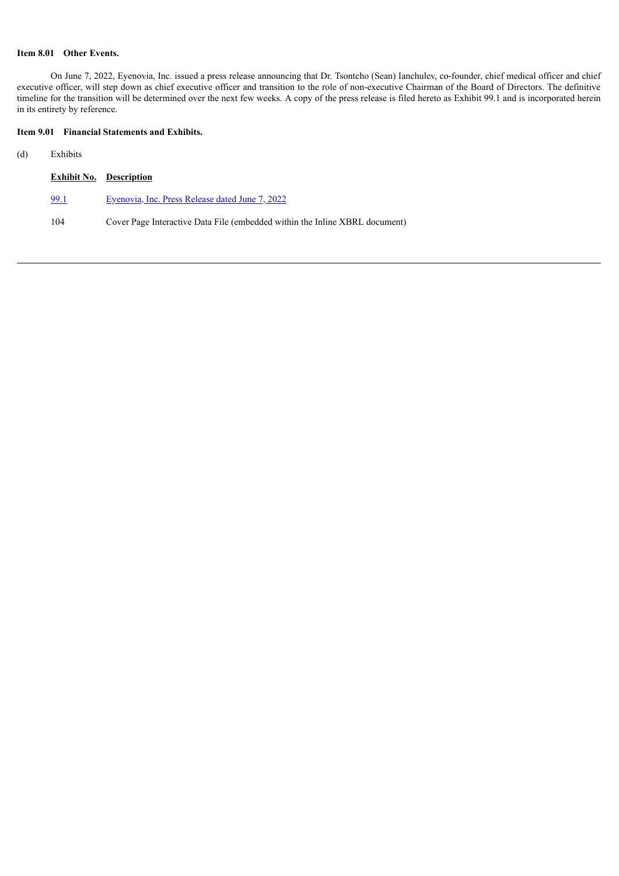#### **Item 8.01 Other Events.**

On June 7, 2022, Eyenovia, Inc. issued a press release announcing that Dr. Tsontcho (Sean) Ianchulev, co-founder, chief medical officer and chief executive officer, will step down as chief executive officer and transition to the role of non-executive Chairman of the Board of Directors. The definitive timeline for the transition will be determined over the next few weeks. A copy of the press release is filed hereto as Exhibit 99.1 and is incorporated herein in its entirety by reference.

#### **Item 9.01 Financial Statements and Exhibits.**

#### (d) Exhibits

|      | <b>Exhibit No.</b> Description                                              |
|------|-----------------------------------------------------------------------------|
| 99.1 | Eyenovia, Inc. Press Release dated June 7, 2022                             |
| 104  | Cover Page Interactive Data File (embedded within the Inline XBRL document) |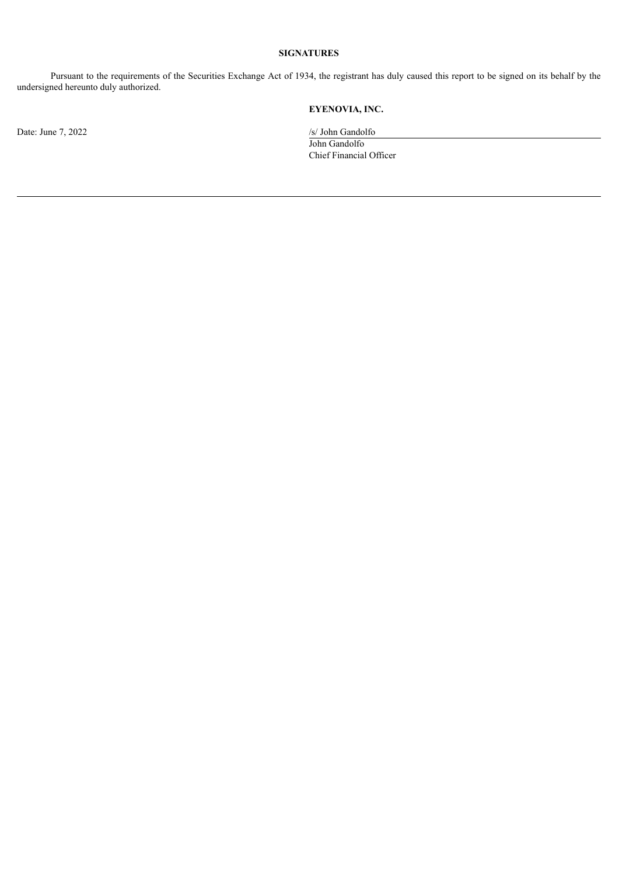#### **SIGNATURES**

Pursuant to the requirements of the Securities Exchange Act of 1934, the registrant has duly caused this report to be signed on its behalf by the undersigned hereunto duly authorized.

## **EYENOVIA, INC.**

Date: June 7, 2022 /s/ John Gandolfo John Gandolfo Chief Financial Officer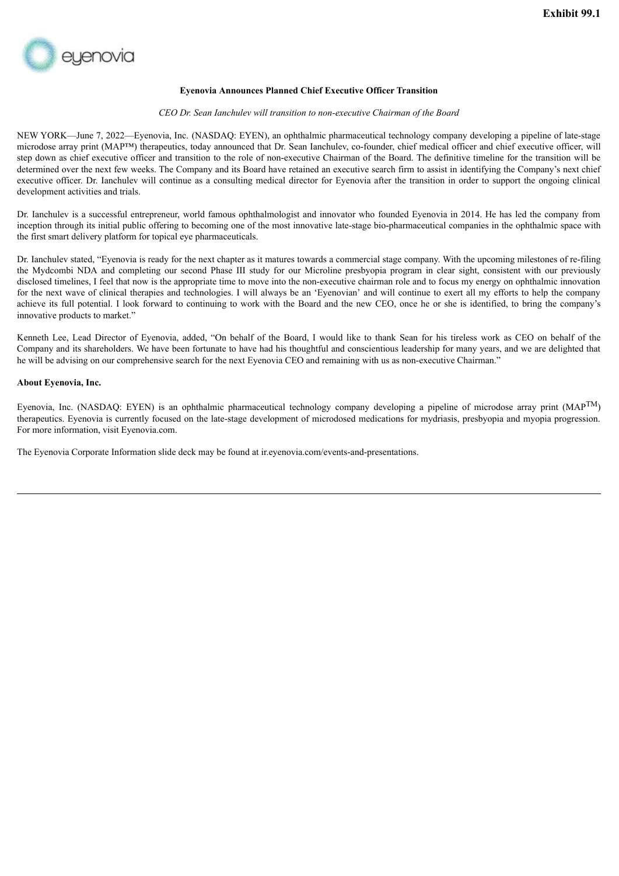<span id="page-3-0"></span>

#### **Eyenovia Announces Planned Chief Executive Officer Transition**

#### *CEO Dr. Sean Ianchulev will transition to non-executive Chairman of the Board*

NEW YORK—June 7, 2022—Eyenovia, Inc. (NASDAQ: EYEN), an ophthalmic pharmaceutical technology company developing a pipeline of late-stage microdose array print (MAP™) therapeutics, today announced that Dr. Sean Ianchulev, co-founder, chief medical officer and chief executive officer, will step down as chief executive officer and transition to the role of non-executive Chairman of the Board. The definitive timeline for the transition will be determined over the next few weeks. The Company and its Board have retained an executive search firm to assist in identifying the Company's next chief executive officer. Dr. Ianchulev will continue as a consulting medical director for Eyenovia after the transition in order to support the ongoing clinical development activities and trials.

Dr. Ianchulev is a successful entrepreneur, world famous ophthalmologist and innovator who founded Eyenovia in 2014. He has led the company from inception through its initial public offering to becoming one of the most innovative late-stage bio-pharmaceutical companies in the ophthalmic space with the first smart delivery platform for topical eye pharmaceuticals.

Dr. Ianchulev stated, "Eyenovia is ready for the next chapter as it matures towards a commercial stage company. With the upcoming milestones of re-filing the Mydcombi NDA and completing our second Phase III study for our Microline presbyopia program in clear sight, consistent with our previously disclosed timelines. I feel that now is the appropriate time to move into the non-executive chairman role and to focus my energy on ophthalmic innovation for the next wave of clinical therapies and technologies. I will always be an 'Eyenovian' and will continue to exert all my efforts to help the company achieve its full potential. I look forward to continuing to work with the Board and the new CEO, once he or she is identified, to bring the company's innovative products to market."

Kenneth Lee, Lead Director of Eyenovia, added, "On behalf of the Board, I would like to thank Sean for his tireless work as CEO on behalf of the Company and its shareholders. We have been fortunate to have had his thoughtful and conscientious leadership for many years, and we are delighted that he will be advising on our comprehensive search for the next Eyenovia CEO and remaining with us as non-executive Chairman."

#### **About Eyenovia, Inc.**

Eyenovia, Inc. (NASDAQ: EYEN) is an ophthalmic pharmaceutical technology company developing a pipeline of microdose array print (MAP<sup>TM</sup>) therapeutics. Eyenovia is currently focused on the late-stage development of microdosed medications for mydriasis, presbyopia and myopia progression. For more information, visit Eyenovia.com.

The Eyenovia Corporate Information slide deck may be found at ir.eyenovia.com/events-and-presentations.